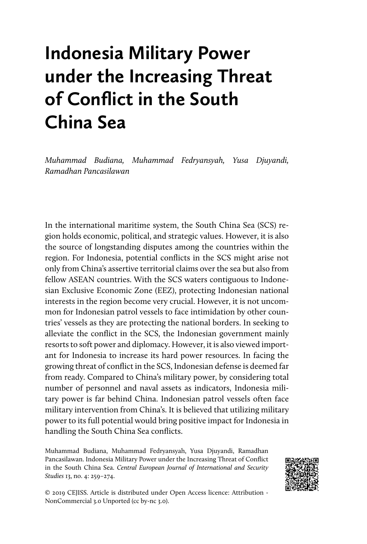# **Indonesia Military Power under the Increasing Threat of Conflict in the South China Sea**

*Muhammad Budiana, Muhammad Fedryansyah, Yusa Djuyandi, Ramadhan Pancasilawan*

In the international maritime system, the South China Sea (SCS) region holds economic, political, and strategic values. However, it is also the source of longstanding disputes among the countries within the region. For Indonesia, potential conflicts in the SCS might arise not only from China's assertive territorial claims over the sea but also from fellow ASEAN countries. With the SCS waters contiguous to Indonesian Exclusive Economic Zone (EEZ), protecting Indonesian national interests in the region become very crucial. However, it is not uncommon for Indonesian patrol vessels to face intimidation by other countries' vessels as they are protecting the national borders. In seeking to alleviate the conflict in the SCS, the Indonesian government mainly resorts to soft power and diplomacy. However, it is also viewed important for Indonesia to increase its hard power resources. In facing the growing threat of conflict in the SCS, Indonesian defense is deemed far from ready. Compared to China's military power, by considering total number of personnel and naval assets as indicators, Indonesia military power is far behind China. Indonesian patrol vessels often face military intervention from China's. It is believed that utilizing military power to its full potential would bring positive impact for Indonesia in handling the South China Sea conflicts.

Muhammad Budiana, Muhammad Fedryansyah, Yusa Djuyandi, Ramadhan Pancasilawan. Indonesia Military Power under the Increasing Threat of Conflict in the South China Sea. *Central European Journal of International and Security Studies* 13, no. 4: 259–274.



© 2019 CEJISS. Article is distributed under Open Access licence: Attribution - NonCommercial 3.0 Unported (cc by-nc 3.0).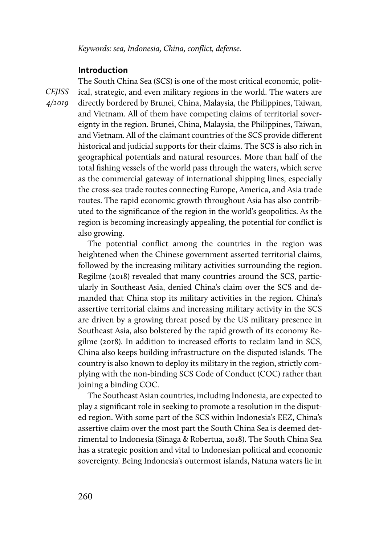*Keywords: sea, Indonesia, China, conflict, defense.*

## **Introduction**

*CEJISS 4/2019* 

The South China Sea (SCS) is one of the most critical economic, political, strategic, and even military regions in the world. The waters are directly bordered by Brunei, China, Malaysia, the Philippines, Taiwan, and Vietnam. All of them have competing claims of territorial sovereignty in the region. Brunei, China, Malaysia, the Philippines, Taiwan, and Vietnam. All of the claimant countries of the SCS provide different historical and judicial supports for their claims. The SCS is also rich in geographical potentials and natural resources. More than half of the total fishing vessels of the world pass through the waters, which serve as the commercial gateway of international shipping lines, especially the cross-sea trade routes connecting Europe, America, and Asia trade routes. The rapid economic growth throughout Asia has also contributed to the significance of the region in the world's geopolitics. As the region is becoming increasingly appealing, the potential for conflict is also growing.

The potential conflict among the countries in the region was heightened when the Chinese government asserted territorial claims, followed by the increasing military activities surrounding the region. Regilme (2018) revealed that many countries around the SCS, particularly in Southeast Asia, denied China's claim over the SCS and demanded that China stop its military activities in the region. China's assertive territorial claims and increasing military activity in the SCS are driven by a growing threat posed by the US military presence in Southeast Asia, also bolstered by the rapid growth of its economy Regilme (2018). In addition to increased efforts to reclaim land in SCS, China also keeps building infrastructure on the disputed islands. The country is also known to deploy its military in the region, strictly complying with the non-binding SCS Code of Conduct (COC) rather than joining a binding COC.

The Southeast Asian countries, including Indonesia, are expected to play a significant role in seeking to promote a resolution in the disputed region. With some part of the SCS within Indonesia's EEZ, China's assertive claim over the most part the South China Sea is deemed detrimental to Indonesia (Sinaga & Robertua, 2018). The South China Sea has a strategic position and vital to Indonesian political and economic sovereignty. Being Indonesia's outermost islands, Natuna waters lie in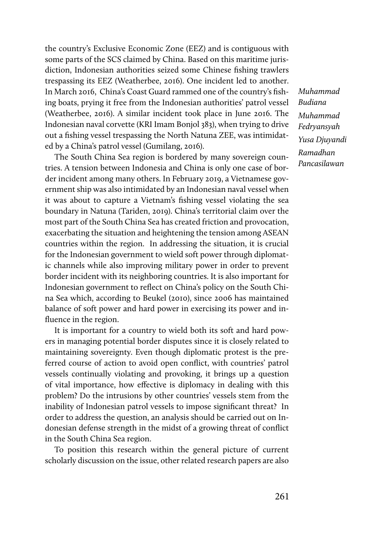the country's Exclusive Economic Zone (EEZ) and is contiguous with some parts of the SCS claimed by China. Based on this maritime jurisdiction, Indonesian authorities seized some Chinese fishing trawlers trespassing its EEZ (Weatherbee, 2016). One incident led to another. In March 2016, China's Coast Guard rammed one of the country's fishing boats, prying it free from the Indonesian authorities' patrol vessel (Weatherbee, 2016). A similar incident took place in June 2016. The Indonesian naval corvette (KRI Imam Bonjol 383), when trying to drive out a fishing vessel trespassing the North Natuna ZEE, was intimidated by a China's patrol vessel (Gumilang, 2016).

The South China Sea region is bordered by many sovereign countries. A tension between Indonesia and China is only one case of border incident among many others. In February 2019, a Vietnamese government ship was also intimidated by an Indonesian naval vessel when it was about to capture a Vietnam's fishing vessel violating the sea boundary in Natuna (Tariden, 2019). China's territorial claim over the most part of the South China Sea has created friction and provocation, exacerbating the situation and heightening the tension among ASEAN countries within the region. In addressing the situation, it is crucial for the Indonesian government to wield soft power through diplomatic channels while also improving military power in order to prevent border incident with its neighboring countries. It is also important for Indonesian government to reflect on China's policy on the South China Sea which, according to Beukel (2010), since 2006 has maintained balance of soft power and hard power in exercising its power and influence in the region.

It is important for a country to wield both its soft and hard powers in managing potential border disputes since it is closely related to maintaining sovereignty. Even though diplomatic protest is the preferred course of action to avoid open conflict, with countries' patrol vessels continually violating and provoking, it brings up a question of vital importance, how effective is diplomacy in dealing with this problem? Do the intrusions by other countries' vessels stem from the inability of Indonesian patrol vessels to impose significant threat? In order to address the question, an analysis should be carried out on Indonesian defense strength in the midst of a growing threat of conflict in the South China Sea region.

To position this research within the general picture of current scholarly discussion on the issue, other related research papers are also

*Muhammad Budiana Muhammad Fedryansyah Yusa Djuyandi Ramadhan Pancasilawan*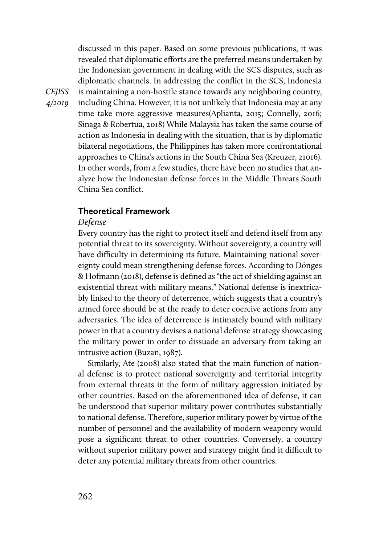discussed in this paper. Based on some previous publications, it was revealed that diplomatic efforts are the preferred means undertaken by the Indonesian government in dealing with the SCS disputes, such as diplomatic channels. In addressing the conflict in the SCS, Indonesia is maintaining a non-hostile stance towards any neighboring country, including China. However, it is not unlikely that Indonesia may at any time take more aggressive measures(Aplianta, 2015; Connelly, 2016; Sinaga & Robertua, 2018) While Malaysia has taken the same course of action as Indonesia in dealing with the situation, that is by diplomatic bilateral negotiations, the Philippines has taken more confrontational approaches to China's actions in the South China Sea (Kreuzer, 21016). In other words, from a few studies, there have been no studies that analyze how the Indonesian defense forces in the Middle Threats South China Sea conflict.

## **Theoretical Framework**

#### *Defense*

Every country has the right to protect itself and defend itself from any potential threat to its sovereignty. Without sovereignty, a country will have difficulty in determining its future. Maintaining national sovereignty could mean strengthening defense forces. According to Dönges & Hofmann (2018), defense is defined as "the act of shielding against an existential threat with military means." National defense is inextricably linked to the theory of deterrence, which suggests that a country's armed force should be at the ready to deter coercive actions from any adversaries. The idea of deterrence is intimately bound with military power in that a country devises a national defense strategy showcasing the military power in order to dissuade an adversary from taking an intrusive action (Buzan, 1987).

Similarly, Ate (2008) also stated that the main function of national defense is to protect national sovereignty and territorial integrity from external threats in the form of military aggression initiated by other countries. Based on the aforementioned idea of defense, it can be understood that superior military power contributes substantially to national defense. Therefore, superior military power by virtue of the number of personnel and the availability of modern weaponry would pose a significant threat to other countries. Conversely, a country without superior military power and strategy might find it difficult to deter any potential military threats from other countries.

*CEJISS 4/2019*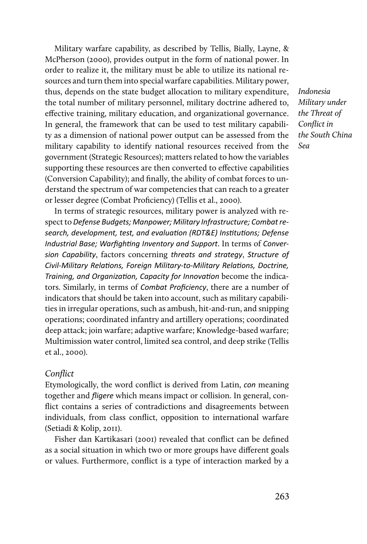Military warfare capability, as described by Tellis, Bially, Layne, & McPherson (2000), provides output in the form of national power. In order to realize it, the military must be able to utilize its national resources and turn them into special warfare capabilities. Military power, thus, depends on the state budget allocation to military expenditure, the total number of military personnel, military doctrine adhered to, effective training, military education, and organizational governance. In general, the framework that can be used to test military capability as a dimension of national power output can be assessed from the military capability to identify national resources received from the government (Strategic Resources); matters related to how the variables supporting these resources are then converted to effective capabilities (Conversion Capability); and finally, the ability of combat forces to understand the spectrum of war competencies that can reach to a greater or lesser degree (Combat Proficiency) (Tellis et al., 2000).

In terms of strategic resources, military power is analyzed with respect to *Defense Budgets; Manpower; Military Infrastructure; Combat research, development, test, and evaluation (RDT&E) Institutions; Defense Industrial Base; Warfighting Inventory and Support*. In terms of *Conversion Capability*, factors concerning *threats and strategy*, *Structure of Civil-Military Relations, Foreign Military-to-Military Relations, Doctrine, Training, and Organization, Capacity for Innovation* become the indicators. Similarly, in terms of *Combat Proficiency*, there are a number of indicators that should be taken into account, such as military capabilities in irregular operations, such as ambush, hit-and-run, and snipping operations; coordinated infantry and artillery operations; coordinated deep attack; join warfare; adaptive warfare; Knowledge-based warfare; Multimission water control, limited sea control, and deep strike (Tellis et al., 2000).

#### *Conflict*

Etymologically, the word conflict is derived from Latin, *con* meaning together and *fligere* which means impact or collision. In general, conflict contains a series of contradictions and disagreements between individuals, from class conflict, opposition to international warfare (Setiadi & Kolip, 2011).

Fisher dan Kartikasari (2001) revealed that conflict can be defined as a social situation in which two or more groups have different goals or values. Furthermore, conflict is a type of interaction marked by a *Indonesia Military under the Threat of Conflict in the South China Sea*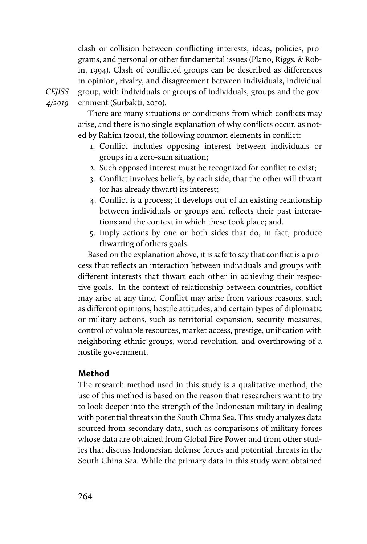clash or collision between conflicting interests, ideas, policies, programs, and personal or other fundamental issues (Plano, Riggs, & Robin, 1994). Clash of conflicted groups can be described as differences in opinion, rivalry, and disagreement between individuals, individual group, with individuals or groups of individuals, groups and the government (Surbakti, 2010).

*CEJISS 4/2019* 

> There are many situations or conditions from which conflicts may arise, and there is no single explanation of why conflicts occur, as noted by Rahim (2001), the following common elements in conflict:

- 1. Conflict includes opposing interest between individuals or groups in a zero-sum situation;
- 2. Such opposed interest must be recognized for conflict to exist;
- 3. Conflict involves beliefs, by each side, that the other will thwart (or has already thwart) its interest;
- 4. Conflict is a process; it develops out of an existing relationship between individuals or groups and reflects their past interactions and the context in which these took place; and.
- 5. Imply actions by one or both sides that do, in fact, produce thwarting of others goals.

Based on the explanation above, it is safe to say that conflict is a process that reflects an interaction between individuals and groups with different interests that thwart each other in achieving their respective goals. In the context of relationship between countries, conflict may arise at any time. Conflict may arise from various reasons, such as different opinions, hostile attitudes, and certain types of diplomatic or military actions, such as territorial expansion, security measures, control of valuable resources, market access, prestige, unification with neighboring ethnic groups, world revolution, and overthrowing of a hostile government.

# **Method**

The research method used in this study is a qualitative method, the use of this method is based on the reason that researchers want to try to look deeper into the strength of the Indonesian military in dealing with potential threats in the South China Sea. This study analyzes data sourced from secondary data, such as comparisons of military forces whose data are obtained from Global Fire Power and from other studies that discuss Indonesian defense forces and potential threats in the South China Sea. While the primary data in this study were obtained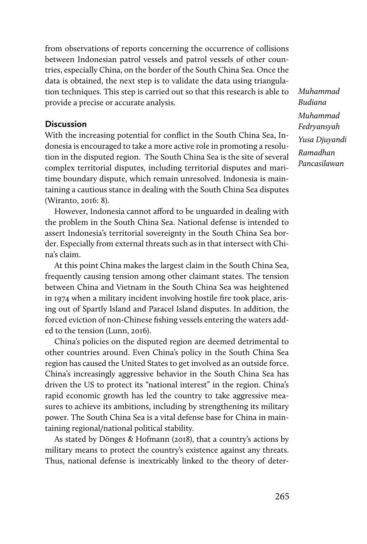from observations of reports concerning the occurrence of collisions between Indonesian patrol vessels and patrol vessels of other countries, especially China, on the border of the South China Sea. Once the data is obtained, the next step is to validate the data using triangulation techniques. This step is carried out so that this research is able to provide a precise or accurate analysis.

#### **Discussion**

With the increasing potential for conflict in the South China Sea, Indonesia is encouraged to take a more active role in promoting a resolution in the disputed region. The South China Sea is the site of several complex territorial disputes, including territorial disputes and maritime boundary dispute, which remain unresolved. Indonesia is maintaining a cautious stance in dealing with the South China Sea disputes (Wiranto, 2016: 8).

However, Indonesia cannot afford to be unguarded in dealing with the problem in the South China Sea. National defense is intended to assert Indonesia's territorial sovereignty in the South China Sea border. Especially from external threats such as in that intersect with China's claim.

At this point China makes the largest claim in the South China Sea, frequently causing tension among other claimant states. The tension between China and Vietnam in the South China Sea was heightened in 1974 when a military incident involving hostile fire took place, arising out of Spartly Island and Paracel Island disputes. In addition, the forced eviction of non-Chinese fishing vessels entering the waters added to the tension (Lunn, 2016).

China's policies on the disputed region are deemed detrimental to other countries around. Even China's policy in the South China Sea region has caused the United States to get involved as an outside force. China's increasingly aggressive behavior in the South China Sea has driven the US to protect its "national interest" in the region. China's rapid economic growth has led the country to take aggressive measures to achieve its ambitions, including by strengthening its military power. The South China Sea is a vital defense base for China in maintaining regional/national political stability.

As stated by Dönges & Hofmann (2018), that a country's actions by military means to protect the country's existence against any threats. Thus, national defense is inextricably linked to the theory of deter*Muhammad Budiana Muhammad Fedryansyah Yusa Djuyandi Ramadhan Pancasilawan*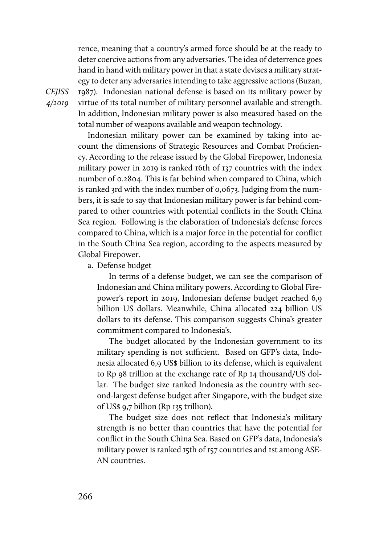rence, meaning that a country's armed force should be at the ready to deter coercive actions from any adversaries. The idea of deterrence goes hand in hand with military power in that a state devises a military strategy to deter any adversaries intending to take aggressive actions (Buzan, 1987). Indonesian national defense is based on its military power by

*CEJISS 4/2019* 

virtue of its total number of military personnel available and strength. In addition, Indonesian military power is also measured based on the total number of weapons available and weapon technology.

Indonesian military power can be examined by taking into account the dimensions of Strategic Resources and Combat Proficiency. According to the release issued by the Global Firepower, Indonesia military power in 2019 is ranked 16th of 137 countries with the index number of 0.2804. This is far behind when compared to China, which is ranked 3rd with the index number of 0,0673. Judging from the numbers, it is safe to say that Indonesian military power is far behind compared to other countries with potential conflicts in the South China Sea region. Following is the elaboration of Indonesia's defense forces compared to China, which is a major force in the potential for conflict in the South China Sea region, according to the aspects measured by Global Firepower.

a. Defense budget

In terms of a defense budget, we can see the comparison of Indonesian and China military powers. According to Global Firepower's report in 2019, Indonesian defense budget reached 6,9 billion US dollars. Meanwhile, China allocated 224 billion US dollars to its defense. This comparison suggests China's greater commitment compared to Indonesia's.

The budget allocated by the Indonesian government to its military spending is not sufficient. Based on GFP's data, Indonesia allocated 6,9 US\$ billion to its defense, which is equivalent to Rp 98 trillion at the exchange rate of Rp 14 thousand/US dollar. The budget size ranked Indonesia as the country with second-largest defense budget after Singapore, with the budget size of US\$ 9,7 billion (Rp 135 trillion).

The budget size does not reflect that Indonesia's military strength is no better than countries that have the potential for conflict in the South China Sea. Based on GFP's data, Indonesia's military power is ranked 15th of 157 countries and 1st among ASE-AN countries.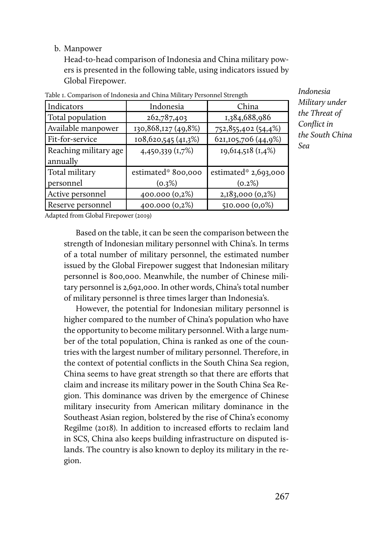## b. Manpower

Head-to-head comparison of Indonesia and China military powers is presented in the following table, using indicators issued by Global Firepower.

| Indicators            | Indonesia           | China                  |
|-----------------------|---------------------|------------------------|
| Total population      | 262,787,403         | 1,384,688,986          |
| Available manpower    | 130,868,127 (49,8%) | 752, 855, 402 (54, 4%) |
| Fit-for-service       | 108,620,545 (41,3%) | 621,105,706 (44,9%)    |
| Reaching military age | 4,450,339 (1,7%)    | 19, 614, 518 (1, 4%)   |
| annually              |                     |                        |
| Total military        | estimated* 800,000  | estimated* $2,693,000$ |
| personnel             | (0.3%)              | (0.2%)                 |
| Active personnel      | 400.000 (0,2%)      | 2,183,000 (0,2%)       |
| Reserve personnel     | 400.000 (0,2%)      | 510.000 (0,0%)         |

Table 1. Comparison of Indonesia and China Military Personnel Strength

*Indonesia Military under the Threat of Conflict in the South China Sea*

Adapted from Global Firepower (2019)

Based on the table, it can be seen the comparison between the strength of Indonesian military personnel with China's. In terms of a total number of military personnel, the estimated number issued by the Global Firepower suggest that Indonesian military personnel is 800,000. Meanwhile, the number of Chinese military personnel is 2,692,000. In other words, China's total number of military personnel is three times larger than Indonesia's.

However, the potential for Indonesian military personnel is higher compared to the number of China's population who have the opportunity to become military personnel. With a large number of the total population, China is ranked as one of the countries with the largest number of military personnel. Therefore, in the context of potential conflicts in the South China Sea region, China seems to have great strength so that there are efforts that claim and increase its military power in the South China Sea Region. This dominance was driven by the emergence of Chinese military insecurity from American military dominance in the Southeast Asian region, bolstered by the rise of China's economy Regilme (2018). In addition to increased efforts to reclaim land in SCS, China also keeps building infrastructure on disputed islands. The country is also known to deploy its military in the region.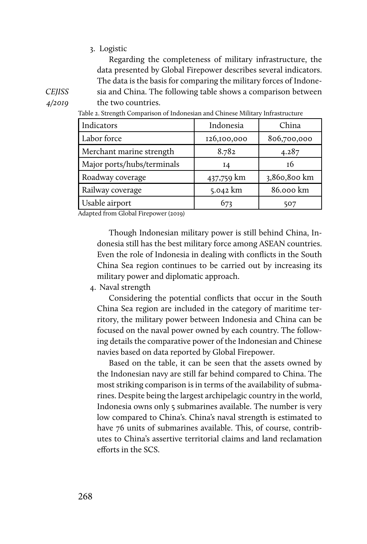#### 3. Logistic

Regarding the completeness of military infrastructure, the data presented by Global Firepower describes several indicators. The data is the basis for comparing the military forces of Indonesia and China. The following table shows a comparison between

*CEJISS 4/2019* 

| sia and China. The following table shows a comparison between                  |
|--------------------------------------------------------------------------------|
| the two countries.                                                             |
| Table 2. Strength Comparison of Indonesian and Chinese Military Infrastructure |

Indicators **I** Indonesia China Labor force 126,100,000 806,700,000 Merchant marine strength  $8.782$  4.287 Major ports/hubs/terminals  $\begin{array}{ccc} 1 & 14 & 16 \end{array}$ Roadway coverage  $\begin{array}{|c|c|c|c|c|} \hline & 437,759 \text{ km} & 3,860,800 \text{ km} \end{array}$ Railway coverage 5.042 km 86.000 km Usable airport  $\begin{array}{ccc} 673 & 1507 \end{array}$ 

| Adapted from Global Firepower (2019) |  |
|--------------------------------------|--|
|--------------------------------------|--|

Though Indonesian military power is still behind China, Indonesia still has the best military force among ASEAN countries. Even the role of Indonesia in dealing with conflicts in the South China Sea region continues to be carried out by increasing its military power and diplomatic approach.

4. Naval strength

Considering the potential conflicts that occur in the South China Sea region are included in the category of maritime territory, the military power between Indonesia and China can be focused on the naval power owned by each country. The following details the comparative power of the Indonesian and Chinese navies based on data reported by Global Firepower.

Based on the table, it can be seen that the assets owned by the Indonesian navy are still far behind compared to China. The most striking comparison is in terms of the availability of submarines. Despite being the largest archipelagic country in the world, Indonesia owns only 5 submarines available. The number is very low compared to China's. China's naval strength is estimated to have 76 units of submarines available. This, of course, contributes to China's assertive territorial claims and land reclamation efforts in the SCS.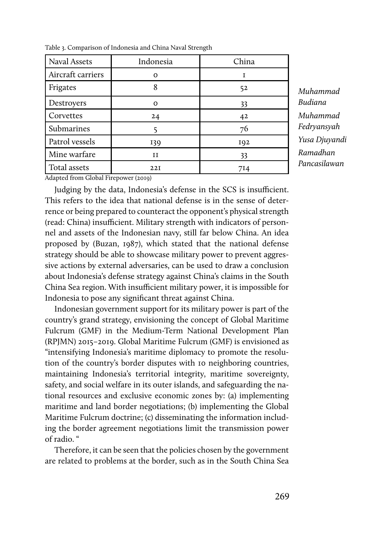| Naval Assets      | Indonesia | China           |
|-------------------|-----------|-----------------|
| Aircraft carriers | ∩         |                 |
| Frigates          |           | 52              |
| Destroyers        | ∩         | 33              |
| Corvettes         | 24        | 42              |
| Submarines        |           | 76              |
| Patrol vessels    | 139       | IQ <sub>2</sub> |
| Mine warfare      | IΙ        | 33              |
| Total assets      | 22I       | 714             |

Table 3. Comparison of Indonesia and China Naval Strength

*Muhammad Budiana Muhammad Fedryansyah Yusa Djuyandi Ramadhan Pancasilawan*

Adapted from Global Firepower (2019)

Judging by the data, Indonesia's defense in the SCS is insufficient. This refers to the idea that national defense is in the sense of deterrence or being prepared to counteract the opponent's physical strength (read: China) insufficient. Military strength with indicators of personnel and assets of the Indonesian navy, still far below China. An idea proposed by (Buzan, 1987), which stated that the national defense strategy should be able to showcase military power to prevent aggressive actions by external adversaries, can be used to draw a conclusion about Indonesia's defense strategy against China's claims in the South China Sea region. With insufficient military power, it is impossible for Indonesia to pose any significant threat against China.

Indonesian government support for its military power is part of the country's grand strategy, envisioning the concept of Global Maritime Fulcrum (GMF) in the Medium-Term National Development Plan (RPJMN) 2015–2019. Global Maritime Fulcrum (GMF) is envisioned as "intensifying Indonesia's maritime diplomacy to promote the resolution of the country's border disputes with 10 neighboring countries, maintaining Indonesia's territorial integrity, maritime sovereignty, safety, and social welfare in its outer islands, and safeguarding the national resources and exclusive economic zones by: (a) implementing maritime and land border negotiations; (b) implementing the Global Maritime Fulcrum doctrine; (c) disseminating the information including the border agreement negotiations limit the transmission power of radio. "

Therefore, it can be seen that the policies chosen by the government are related to problems at the border, such as in the South China Sea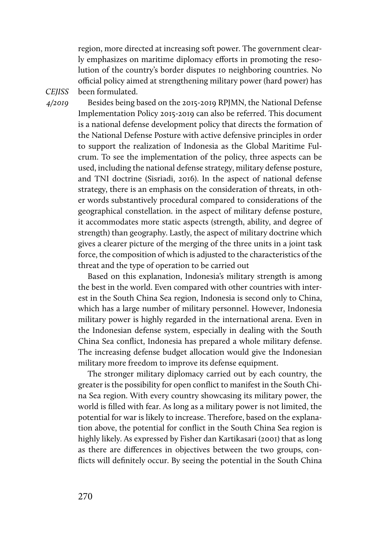region, more directed at increasing soft power. The government clearly emphasizes on maritime diplomacy efforts in promoting the resolution of the country's border disputes 10 neighboring countries. No official policy aimed at strengthening military power (hard power) has been formulated.

*CEJISS 4/2019* 

Besides being based on the 2015-2019 RPJMN, the National Defense Implementation Policy 2015-2019 can also be referred. This document is a national defense development policy that directs the formation of the National Defense Posture with active defensive principles in order to support the realization of Indonesia as the Global Maritime Fulcrum. To see the implementation of the policy, three aspects can be used, including the national defense strategy, military defense posture, and TNI doctrine (Sisriadi, 2016). In the aspect of national defense strategy, there is an emphasis on the consideration of threats, in other words substantively procedural compared to considerations of the geographical constellation. in the aspect of military defense posture, it accommodates more static aspects (strength, ability, and degree of strength) than geography. Lastly, the aspect of military doctrine which gives a clearer picture of the merging of the three units in a joint task force, the composition of which is adjusted to the characteristics of the threat and the type of operation to be carried out

Based on this explanation, Indonesia's military strength is among the best in the world. Even compared with other countries with interest in the South China Sea region, Indonesia is second only to China, which has a large number of military personnel. However, Indonesia military power is highly regarded in the international arena. Even in the Indonesian defense system, especially in dealing with the South China Sea conflict, Indonesia has prepared a whole military defense. The increasing defense budget allocation would give the Indonesian military more freedom to improve its defense equipment.

The stronger military diplomacy carried out by each country, the greater is the possibility for open conflict to manifest in the South China Sea region. With every country showcasing its military power, the world is filled with fear. As long as a military power is not limited, the potential for war is likely to increase. Therefore, based on the explanation above, the potential for conflict in the South China Sea region is highly likely. As expressed by Fisher dan Kartikasari (2001) that as long as there are differences in objectives between the two groups, conflicts will definitely occur. By seeing the potential in the South China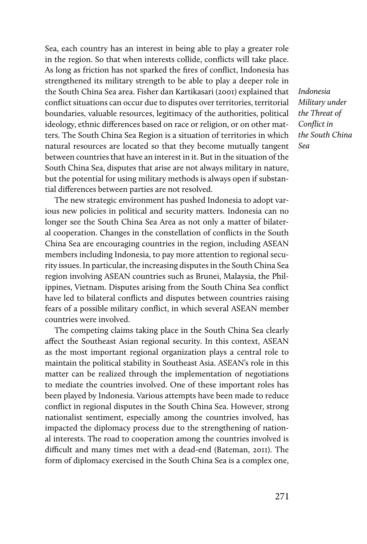Sea, each country has an interest in being able to play a greater role in the region. So that when interests collide, conflicts will take place. As long as friction has not sparked the fires of conflict, Indonesia has strengthened its military strength to be able to play a deeper role in the South China Sea area. Fisher dan Kartikasari (2001) explained that conflict situations can occur due to disputes over territories, territorial boundaries, valuable resources, legitimacy of the authorities, political ideology, ethnic differences based on race or religion, or on other matters. The South China Sea Region is a situation of territories in which natural resources are located so that they become mutually tangent between countries that have an interest in it. But in the situation of the South China Sea, disputes that arise are not always military in nature, but the potential for using military methods is always open if substantial differences between parties are not resolved.

The new strategic environment has pushed Indonesia to adopt various new policies in political and security matters. Indonesia can no longer see the South China Sea Area as not only a matter of bilateral cooperation. Changes in the constellation of conflicts in the South China Sea are encouraging countries in the region, including ASEAN members including Indonesia, to pay more attention to regional security issues. In particular, the increasing disputes in the South China Sea region involving ASEAN countries such as Brunei, Malaysia, the Philippines, Vietnam. Disputes arising from the South China Sea conflict have led to bilateral conflicts and disputes between countries raising fears of a possible military conflict, in which several ASEAN member countries were involved.

The competing claims taking place in the South China Sea clearly affect the Southeast Asian regional security. In this context, ASEAN as the most important regional organization plays a central role to maintain the political stability in Southeast Asia. ASEAN's role in this matter can be realized through the implementation of negotiations to mediate the countries involved. One of these important roles has been played by Indonesia. Various attempts have been made to reduce conflict in regional disputes in the South China Sea. However, strong nationalist sentiment, especially among the countries involved, has impacted the diplomacy process due to the strengthening of national interests. The road to cooperation among the countries involved is difficult and many times met with a dead-end (Bateman, 2011). The form of diplomacy exercised in the South China Sea is a complex one, *Indonesia Military under the Threat of Conflict in the South China Sea*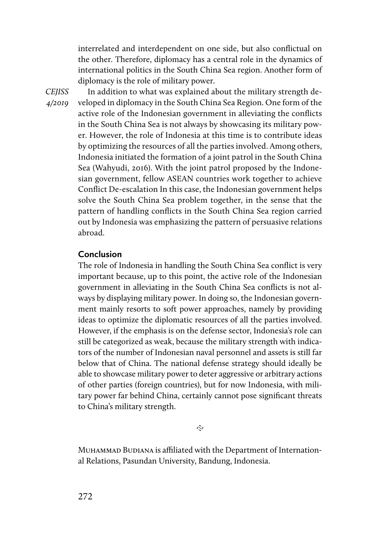interrelated and interdependent on one side, but also conflictual on the other. Therefore, diplomacy has a central role in the dynamics of international politics in the South China Sea region. Another form of diplomacy is the role of military power.

*CEJISS 4/2019* 

In addition to what was explained about the military strength developed in diplomacy in the South China Sea Region. One form of the active role of the Indonesian government in alleviating the conflicts in the South China Sea is not always by showcasing its military power. However, the role of Indonesia at this time is to contribute ideas by optimizing the resources of all the parties involved. Among others, Indonesia initiated the formation of a joint patrol in the South China Sea (Wahyudi, 2016). With the joint patrol proposed by the Indonesian government, fellow ASEAN countries work together to achieve Conflict De-escalation In this case, the Indonesian government helps solve the South China Sea problem together, in the sense that the pattern of handling conflicts in the South China Sea region carried out by Indonesia was emphasizing the pattern of persuasive relations abroad.

# **Conclusion**

The role of Indonesia in handling the South China Sea conflict is very important because, up to this point, the active role of the Indonesian government in alleviating in the South China Sea conflicts is not always by displaying military power. In doing so, the Indonesian government mainly resorts to soft power approaches, namely by providing ideas to optimize the diplomatic resources of all the parties involved. However, if the emphasis is on the defense sector, Indonesia's role can still be categorized as weak, because the military strength with indicators of the number of Indonesian naval personnel and assets is still far below that of China. The national defense strategy should ideally be able to showcase military power to deter aggressive or arbitrary actions of other parties (foreign countries), but for now Indonesia, with military power far behind China, certainly cannot pose significant threats to China's military strength.

∾

MUHAMMAD BUDIANA is affiliated with the Department of International Relations, Pasundan University, Bandung, Indonesia.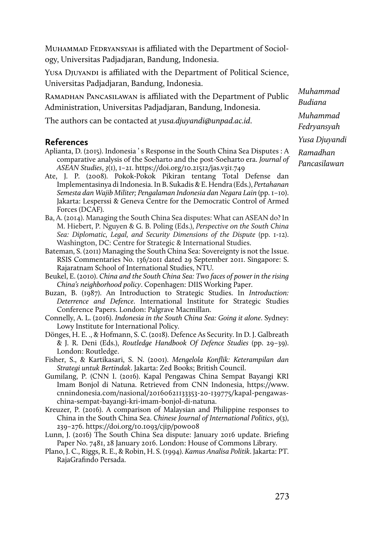Muhammad Fedryansyah is affiliated with the Department of Sociology, Universitas Padjadjaran, Bandung, Indonesia.

YUSA DIUYANDI is affiliated with the Department of Political Science, Universitas Padjadjaran, Bandung, Indonesia.

Ramadhan Pancasilawan is affiliated with the Department of Public Administration, Universitas Padjadjaran, Bandung, Indonesia.

The authors can be contacted at *yusa.djuyandi@unpad.ac.id*.

## **References**

- Aplianta, D. (2015). Indonesia ' s Response in the South China Sea Disputes : A comparative analysis of the Soeharto and the post-Soeharto era. *Journal of ASEAN Studies*, *3*(1), 1–21. https://doi.org/10.21512/jas.v3i1.749
- Ate, J. P. (2008). Pokok-Pokok Pikiran tentang Total Defense dan Implementasinya di Indonesia. In B. Sukadis & E. Hendra (Eds.), *Pertahanan Semesta dan Wajib Militer; Pengalaman Indonesia dan Negara Lain* (pp. 1–10). Jakarta: Lesperssi & Geneva Centre for the Democratic Control of Armed Forces (DCAF).
- Ba, A. (2014). Managing the South China Sea disputes: What can ASEAN do? In M. Hiebert, P. Nguyen & G. B. Poling (Eds.), *Perspective on the South China Sea: Diplomatic, Legal, and Security Dimensions of the Dispute (pp. 1-12).* Washington, DC: Centre for Strategic & International Studies.
- Bateman, S. (2011) Managing the South China Sea: Sovereignty is not the Issue. RSIS Commentaries No. 136/2011 dated 29 September 2011. Singapore: S. Rajaratnam School of International Studies, NTU.
- Beukel, E. (2010). *China and the South China Sea: Two faces of power in the rising China's neighborhood policy*. Copenhagen: DIIS Working Paper.
- Buzan, B. (1987). An Introduction to Strategic Studies. In *Introduction: Deterrence and Defence*. International Institute for Strategic Studies Conference Papers. London: Palgrave Macmillan.
- Connelly, A. L. (2016). *Indonesia in the South China Sea: Going it alone*. Sydney: Lowy Institute for International Policy.
- Dönges, H. E. ., & Hofmann, S. C. (2018). Defence As Security. In D. J. Galbreath & J. R. Deni (Eds.), *Routledge Handbook Of Defence Studies* (pp. 29–39). London: Routledge.
- Fisher, S., & Kartikasari, S. N. (2001). *Mengelola Konflik: Keterampilan dan Strategi untuk Bertindak*. Jakarta: Zed Books; British Council.
- Gumilang, P. (CNN I. (2016). Kapal Pengawas China Sempat Bayangi KRI Imam Bonjol di Natuna. Retrieved from CNN Indonesia, https://www. cnnindonesia.com/nasional/20160621133353-20-139775/kapal-pengawaschina-sempat-bayangi-kri-imam-bonjol-di-natuna.
- Kreuzer, P. (2016). A comparison of Malaysian and Philippine responses to China in the South China Sea. *Chinese Journal of International Politics*, *9*(3), 239–276. https://doi.org/10.1093/cjip/pow008
- Lunn, J. (2016) The South China Sea dispute: January 2016 update. Briefing Paper No. 7481, 28 January 2016. London: House of Commons Library.
- Plano, J. C., Riggs, R. E., & Robin, H. S. (1994). *Kamus Analisa Politik*. Jakarta: PT. RajaGrafindo Persada.

*Muhammad Budiana Muhammad Fedryansyah Yusa Djuyandi Ramadhan Pancasilawan*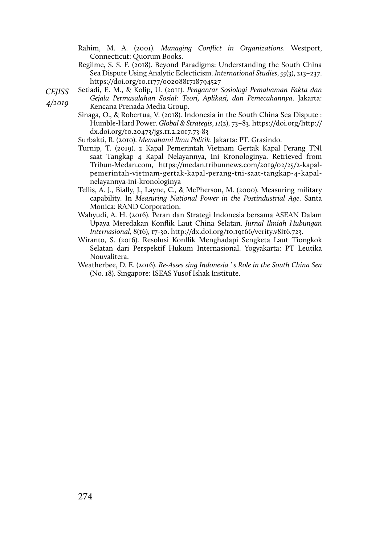Rahim, M. A. (2001). *Managing Conflict in Organizations*. Westport, Connecticut: Quorum Books.

Regilme, S. S. F. (2018). Beyond Paradigms: Understanding the South China Sea Dispute Using Analytic Eclecticism. *International Studies*, *55*(3), 213–237. https://doi.org/10.1177/0020881718794527

*CEJISS 4/2019*  Setiadi, E. M., & Kolip, U. (2011). *Pengantar Sosiologi Pemahaman Fakta dan Gejala Permasalahan Sosial: Teori, Aplikasi, dan Pemecahannya*. Jakarta:

Kencana Prenada Media Group.

- Sinaga, O., & Robertua, V. (2018). Indonesia in the South China Sea Dispute : Humble-Hard Power. *Global & Strategis*, *11*(2), 73–83. https://doi.org/http:// dx.doi.org/10.20473/jgs.11.2.2017.73-83
- Surbakti, R. (2010). *Memahami Ilmu Politik*. Jakarta: PT. Grasindo.
- Turnip, T. (2019). 2 Kapal Pemerintah Vietnam Gertak Kapal Perang TNI saat Tangkap 4 Kapal Nelayannya, Ini Kronologinya. Retrieved from Tribun-Medan.com, https://medan.tribunnews.com/2019/02/25/2-kapalpemerintah-vietnam-gertak-kapal-perang-tni-saat-tangkap-4-kapalnelayannya-ini-kronologinya
- Tellis, A. J., Bially, J., Layne, C., & McPherson, M. (2000). Measuring military capability. In *Measuring National Power in the Postindustrial Age*. Santa Monica: RAND Corporation.
- Wahyudi, A. H. (2016). Peran dan Strategi Indonesia bersama ASEAN Dalam Upaya Meredakan Konflik Laut China Selatan. *Jurnal Ilmiah Hubungan Internasional*, 8(16), 17-30. http://dx.doi.org/10.19166/verity.v8i16.723.
- Wiranto, S. (2016). Resolusi Konflik Menghadapi Sengketa Laut Tiongkok Selatan dari Perspektif Hukum Internasional. Yogyakarta: PT Leutika Nouvalitera.
- Weatherbee, D. E. (2016). *Re-Asses sing Indonesia ' s Role in the South China Sea* (No. 18). Singapore: ISEAS Yusof Ishak Institute.